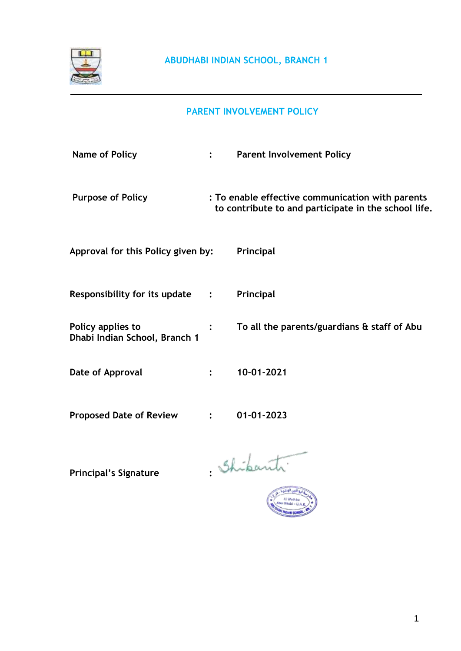

# **PARENT INVOLVEMENT POLICY**

| <b>Name of Policy</b>                              | <b>Parent Involvement Policy</b>                                                                         |
|----------------------------------------------------|----------------------------------------------------------------------------------------------------------|
| <b>Purpose of Policy</b>                           | : To enable effective communication with parents<br>to contribute to and participate in the school life. |
| Approval for this Policy given by:                 | Principal                                                                                                |
| Responsibility for its update :                    | Principal                                                                                                |
| Policy applies to<br>Dhabi Indian School, Branch 1 | To all the parents/guardians & staff of Abu                                                              |
| Date of Approval                                   | 10-01-2021                                                                                               |
| <b>Proposed Date of Review</b>                     | 01-01-2023                                                                                               |

Principal's Signature : Shibanti

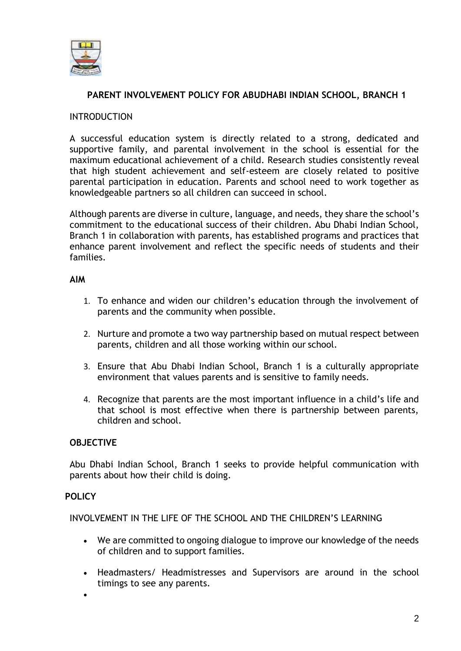

# **PARENT INVOLVEMENT POLICY FOR ABUDHABI INDIAN SCHOOL, BRANCH 1**

# INTRODUCTION

A successful education system is directly related to a strong, dedicated and supportive family, and parental involvement in the school is essential for the maximum educational achievement of a child. Research studies consistently reveal that high student achievement and self-esteem are closely related to positive parental participation in education. Parents and school need to work together as knowledgeable partners so all children can succeed in school.

Although parents are diverse in culture, language, and needs, they share the school's commitment to the educational success of their children. Abu Dhabi Indian School, Branch 1 in collaboration with parents, has established programs and practices that enhance parent involvement and reflect the specific needs of students and their families.

#### **AIM**

- 1. To enhance and widen our children's education through the involvement of parents and the community when possible.
- 2. Nurture and promote a two way partnership based on mutual respect between parents, children and all those working within our school.
- 3. Ensure that Abu Dhabi Indian School, Branch 1 is a culturally appropriate environment that values parents and is sensitive to family needs.
- 4. Recognize that parents are the most important influence in a child's life and that school is most effective when there is partnership between parents, children and school.

#### **OBJECTIVE**

Abu Dhabi Indian School, Branch 1 seeks to provide helpful communication with parents about how their child is doing.

# **POLICY**

INVOLVEMENT IN THE LIFE OF THE SCHOOL AND THE CHILDREN'S LEARNING

- We are committed to ongoing dialogue to improve our knowledge of the needs of children and to support families.
- Headmasters/ Headmistresses and Supervisors are around in the school timings to see any parents.
- •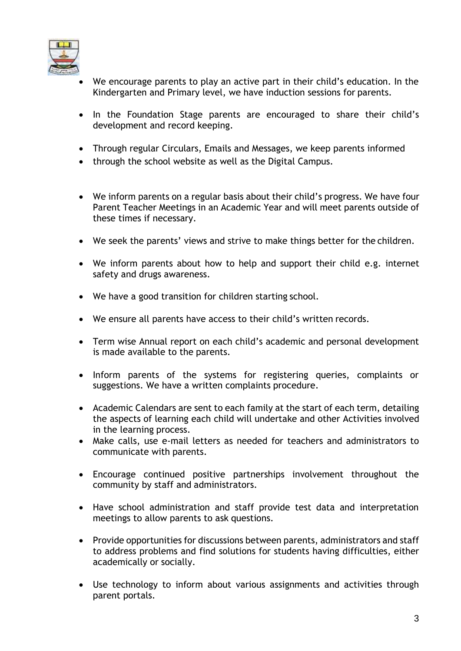

- We encourage parents to play an active part in their child's education. In the Kindergarten and Primary level, we have induction sessions for parents.
- In the Foundation Stage parents are encouraged to share their child's development and record keeping.
- Through regular Circulars, Emails and Messages, we keep parents informed
- through the school website as well as the Digital Campus.
- We inform parents on a regular basis about their child's progress. We have four Parent Teacher Meetings in an Academic Year and will meet parents outside of these times if necessary.
- We seek the parents' views and strive to make things better for the children.
- We inform parents about how to help and support their child e.g. internet safety and drugs awareness.
- We have a good transition for children starting school.
- We ensure all parents have access to their child's written records.
- Term wise Annual report on each child's academic and personal development is made available to the parents.
- Inform parents of the systems for registering queries, complaints or suggestions. We have a written complaints procedure.
- Academic Calendars are sent to each family at the start of each term, detailing the aspects of learning each child will undertake and other Activities involved in the learning process.
- Make calls, use e-mail letters as needed for teachers and administrators to communicate with parents.
- Encourage continued positive partnerships involvement throughout the community by staff and administrators.
- Have school administration and staff provide test data and interpretation meetings to allow parents to ask questions.
- Provide opportunities for discussions between parents, administrators and staff to address problems and find solutions for students having difficulties, either academically or socially.
- Use technology to inform about various assignments and activities through parent portals.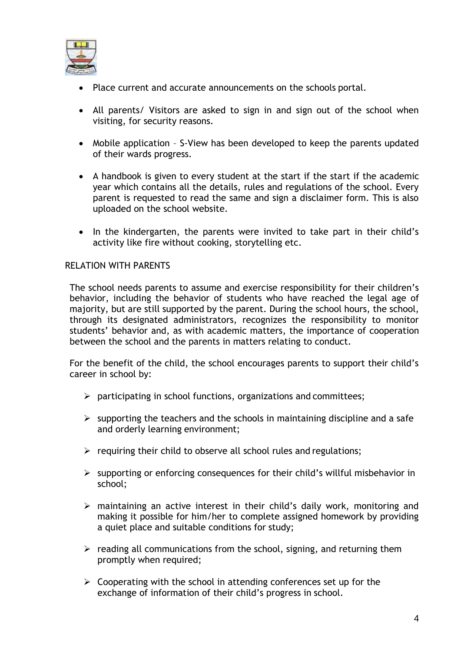

- Place current and accurate announcements on the schools portal.
- All parents/ Visitors are asked to sign in and sign out of the school when visiting, for security reasons.
- Mobile application S-View has been developed to keep the parents updated of their wards progress.
- A handbook is given to every student at the start if the start if the academic year which contains all the details, rules and regulations of the school. Every parent is requested to read the same and sign a disclaimer form. This is also uploaded on the school website.
- In the kindergarten, the parents were invited to take part in their child's activity like fire without cooking, storytelling etc.

# RELATION WITH PARENTS

The school needs parents to assume and exercise responsibility for their children's behavior, including the behavior of students who have reached the legal age of majority, but are still supported by the parent. During the school hours, the school, through its designated administrators, recognizes the responsibility to monitor students' behavior and, as with academic matters, the importance of cooperation between the school and the parents in matters relating to conduct.

For the benefit of the child, the school encourages parents to support their child's career in school by:

- $\triangleright$  participating in school functions, organizations and committees;
- $\triangleright$  supporting the teachers and the schools in maintaining discipline and a safe and orderly learning environment;
- $\triangleright$  requiring their child to observe all school rules and regulations;
- $\triangleright$  supporting or enforcing consequences for their child's willful misbehavior in school;
- ➢ maintaining an active interest in their child's daily work, monitoring and making it possible for him/her to complete assigned homework by providing a quiet place and suitable conditions for study;
- $\triangleright$  reading all communications from the school, signing, and returning them promptly when required;
- $\triangleright$  Cooperating with the school in attending conferences set up for the exchange of information of their child's progress in school.